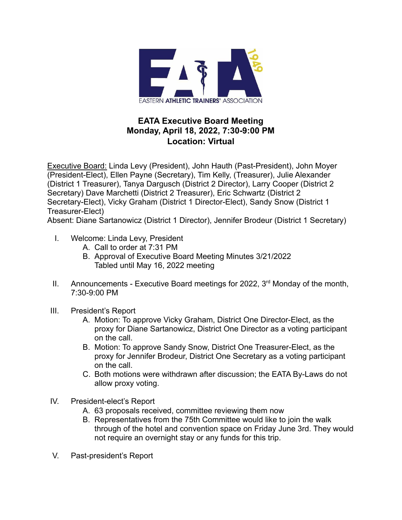

## **EATA Executive Board Meeting Monday, April 18, 2022, 7:30-9:00 PM Location: Virtual**

Executive Board: Linda Levy (President), John Hauth (Past-President), John Moyer (President-Elect), Ellen Payne (Secretary), Tim Kelly, (Treasurer), Julie Alexander (District 1 Treasurer), Tanya Dargusch (District 2 Director), Larry Cooper (District 2 Secretary) Dave Marchetti (District 2 Treasurer), Eric Schwartz (District 2 Secretary-Elect), Vicky Graham (District 1 Director-Elect), Sandy Snow (District 1 Treasurer-Elect)

Absent: Diane Sartanowicz (District 1 Director), Jennifer Brodeur (District 1 Secretary)

- I. Welcome: Linda Levy, President
	- A. Call to order at 7:31 PM
	- B. Approval of Executive Board Meeting Minutes 3/21/2022 Tabled until May 16, 2022 meeting
- II. Announcements Executive Board meetings for 2022,  $3<sup>rd</sup>$  Monday of the month, 7:30-9:00 PM
- III. President's Report
	- A. Motion: To approve Vicky Graham, District One Director-Elect, as the proxy for Diane Sartanowicz, District One Director as a voting participant on the call.
	- B. Motion: To approve Sandy Snow, District One Treasurer-Elect, as the proxy for Jennifer Brodeur, District One Secretary as a voting participant on the call.
	- C. Both motions were withdrawn after discussion; the EATA By-Laws do not allow proxy voting.
- IV. President-elect's Report
	- A. 63 proposals received, committee reviewing them now
	- B. Representatives from the 75th Committee would like to join the walk through of the hotel and convention space on Friday June 3rd. They would not require an overnight stay or any funds for this trip.
- V. Past-president's Report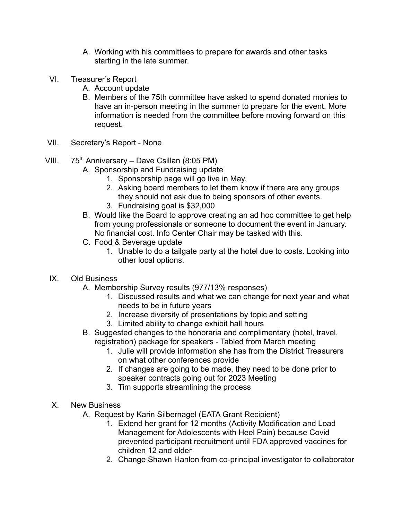- A. Working with his committees to prepare for awards and other tasks starting in the late summer.
- VI. Treasurer's Report
	- A. Account update
	- B. Members of the 75th committee have asked to spend donated monies to have an in-person meeting in the summer to prepare for the event. More information is needed from the committee before moving forward on this request.
- VII. Secretary's Report None
- VIII.  $75<sup>th</sup>$  Anniversary Dave Csillan (8:05 PM)
	- A. Sponsorship and Fundraising update
		- 1. Sponsorship page will go live in May.
		- 2. Asking board members to let them know if there are any groups they should not ask due to being sponsors of other events.
		- 3. Fundraising goal is \$32,000
	- B. Would like the Board to approve creating an ad hoc committee to get help from young professionals or someone to document the event in January. No financial cost. Info Center Chair may be tasked with this.
	- C. Food & Beverage update
		- 1. Unable to do a tailgate party at the hotel due to costs. Looking into other local options.
	- IX. Old Business
		- A. Membership Survey results (977/13% responses)
			- 1. Discussed results and what we can change for next year and what needs to be in future years
			- 2. Increase diversity of presentations by topic and setting
			- 3. Limited ability to change exhibit hall hours
		- B. Suggested changes to the honoraria and complimentary (hotel, travel, registration) package for speakers - Tabled from March meeting
			- 1. Julie will provide information she has from the District Treasurers on what other conferences provide
			- 2. If changes are going to be made, they need to be done prior to speaker contracts going out for 2023 Meeting
			- 3. Tim supports streamlining the process
	- X. New Business
		- A. Request by Karin Silbernagel (EATA Grant Recipient)
			- 1. Extend her grant for 12 months (Activity Modification and Load Management for Adolescents with Heel Pain) because Covid prevented participant recruitment until FDA approved vaccines for children 12 and older
			- 2. Change Shawn Hanlon from co-principal investigator to collaborator